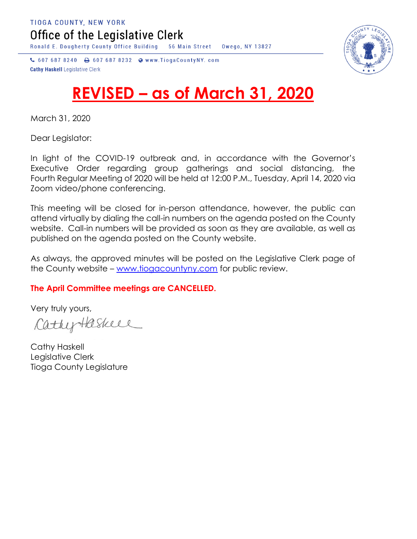Office of the Legislative Clerk

Ronald E. Dougherty County Office Building 56 Main Street Owego, NY 13827



↓ 607 687 8240 → 607 687 8232 → www.TiogaCountyNY.com **Cathy Haskell Legislative Clerk** 

## **REVISED – as of March 31, 2020**

March 31, 2020

Dear Legislator:

In light of the COVID-19 outbreak and, in accordance with the Governor's Executive Order regarding group gatherings and social distancing, the Fourth Regular Meeting of 2020 will be held at 12:00 P.M., Tuesday, April 14, 2020 via Zoom video/phone conferencing.

This meeting will be closed for in-person attendance, however, the public can attend virtually by dialing the call-in numbers on the agenda posted on the County website. Call-in numbers will be provided as soon as they are available, as well as published on the agenda posted on the County website.

As always, the approved minutes will be posted on the Legislative Clerk page of the County website – [www.tiogacountyny.com](http://www.tiogacountyny.com/) for public review.

## **The April Committee meetings are CANCELLED.**

Very truly yours,

CathyHaskeel

Cathy Haskell Legislative Clerk Tioga County Legislature